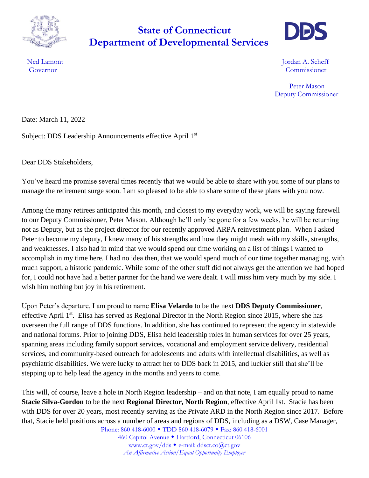

## **Department of Developmental Services State of Connecticut**



Ned Lamont **International Community** Contact the *Lamont* **Jordan A. Scheff** Governor Commissioner

> Peter Mason Deputy Commissioner

Date: March 11, 2022

Subject: DDS Leadership Announcements effective April 1st

Dear DDS Stakeholders,

You've heard me promise several times recently that we would be able to share with you some of our plans to manage the retirement surge soon. I am so pleased to be able to share some of these plans with you now.

Among the many retirees anticipated this month, and closest to my everyday work, we will be saying farewell to our Deputy Commissioner, Peter Mason. Although he'll only be gone for a few weeks, he will be returning not as Deputy, but as the project director for our recently approved ARPA reinvestment plan. When I asked Peter to become my deputy, I knew many of his strengths and how they might mesh with my skills, strengths, and weaknesses. I also had in mind that we would spend our time working on a list of things I wanted to accomplish in my time here. I had no idea then, that we would spend much of our time together managing, with much support, a historic pandemic. While some of the other stuff did not always get the attention we had hoped for, I could not have had a better partner for the hand we were dealt. I will miss him very much by my side. I wish him nothing but joy in his retirement.

Upon Peter's departure, I am proud to name **Elisa Velardo** to be the next **DDS Deputy Commissioner**, effective April 1<sup>st</sup>. Elisa has served as Regional Director in the North Region since 2015, where she has overseen the full range of DDS functions. In addition, she has continued to represent the agency in statewide and national forums. Prior to joining DDS, Elisa held leadership roles in human services for over 25 years, spanning areas including family support services, vocational and employment service delivery, residential services, and community-based outreach for adolescents and adults with intellectual disabilities, as well as psychiatric disabilities. We were lucky to attract her to DDS back in 2015, and luckier still that she'll be stepping up to help lead the agency in the months and years to come.

This will, of course, leave a hole in North Region leadership – and on that note, I am equally proud to name **Stacie Silva-Gordon** to be the next **Regional Director, North Region**, effective April 1st. Stacie has been with DDS for over 20 years, most recently serving as the Private ARD in the North Region since 2017. Before that, Stacie held positions across a number of areas and regions of DDS, including as a DSW, Case Manager,

Phone: 860 418-6000 • TDD 860 418-6079 • Fax: 860 418-6001 460 Capitol Avenue · Hartford, Connecticut 06106 [www.ct.gov/dds](http://www.ct.gov/dds) • e-mail: [ddsct.co@ct.gov](mailto:ddsct.co@ct.gov) *An Affirmative Action/Equal Opportunity Employer*